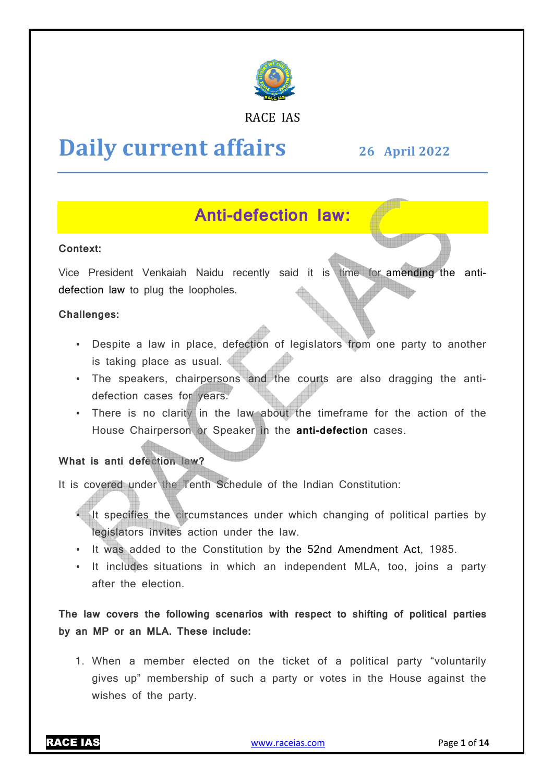

#### RACE IAS

# **Daily current affairs**

**26 April April 2022**

# **Anti Anti-defection law:**

#### **Context:**

Vice President Venkaiah Naidu recently said it is time for amending the antidefection law to plug the loopholes.

#### **Challenges:**

- Despite a law in place, defection of legislators from one party to another is taking place as usual.
- The speakers, chairpersons and the courts are also dragging the antidefection cases for years.
- There is no clarity in the law about the timeframe for the action of the House Chairperson or Sp Speaker in the **anti-defection** cases.

#### **What is anti defection law?**

It is covered under the Tenth Schedule of the Indian Constitution:

- It specifies the circumstances under which changing of political parties by legislators invites action under the law.
- It was added to the Constitution by the 52nd Amendment Act, 1985.
- It includes situations in which an independent MLA, too, joins a party after the election.

**The law covers the following scenarios with respect to shifting of political parties by an MP or an MLA. These include:**

1. When a member elected on the ticket of a political party "voluntarily gives up" membership of such a party or votes in the House against the wishes of the party.

RACE IAS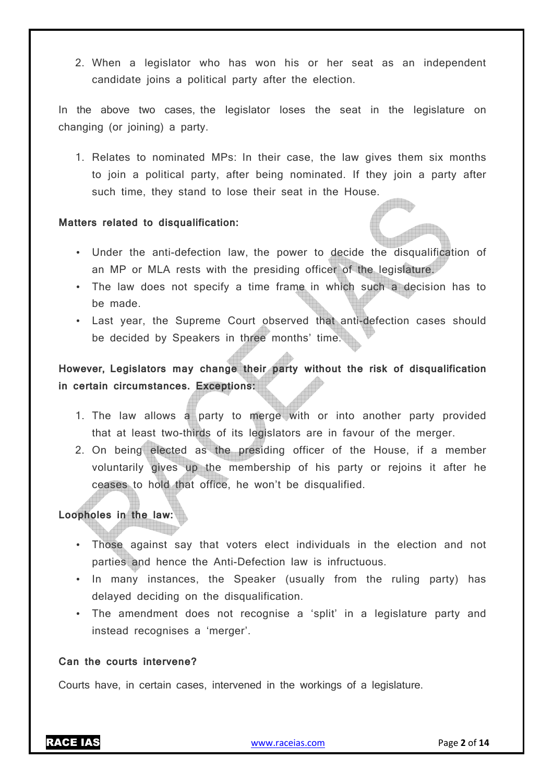2. When a legislator who has won his or her seat as an independent candidate joins a political party after the election.

In the above two cases, the legislator loses the seat in the legislature on changing (or joining) a party.

1. Relates to nominated MPs: In their case, the law gives them six months to join a political party, after being nominated. If they join a party after such time, they stand to lose their seat in the House.

#### **Matters related to disqualification:**

- Under the anti-defection law, the power to decide the disqualification of an MP or MLA rests with the presiding officer of the legislature.
- The law does not specify a time frame in which such a decision has to be made.
- Last year, the Supreme Court observed that anti-defection cases should be decided by Speakers in three months' time.

**However, Legislators may change their party without the risk of disqualification in certain circumstances. Exceptions:** 

- 1. The law allows a party to merge with or into another party provided that at least two-thirds of its legislators are in favour of the merger.
- 2. On being elected as the presiding officer of the House, if a member voluntarily gives up the membership of his party or rejoins it after he ceases to hold that office, he won't be disqualified.

#### **Loopholes in the law:**

- Those against say that voters elect individuals in the election and not parties and hence the Anti-Defection law is infructuous.
- In many instances, the Speaker (usually from the ruling party) has delayed deciding on the disqualification.
- The amendment does not recognise a 'split' in a legislature party and instead recognises a 'merger'.

#### **Can the courts intervene?**

Courts have, in certain cases, intervened in the workings of a legislature.

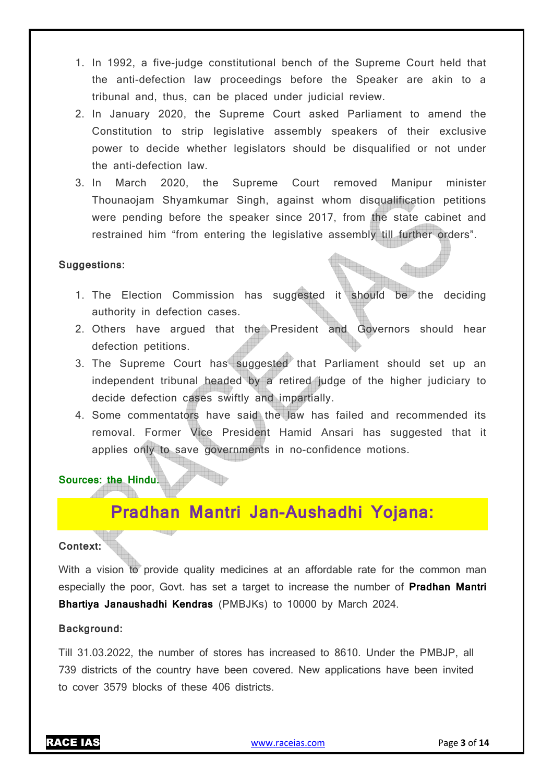- 1. In 1992, a five-judge constitutional bench of the Supreme Court held that the anti-defection law proceedings before the Speaker are akin to a tribunal and, thus, can be placed under judicial review.
- 2. In January 2020, the Supreme Court asked Parliament to amend the Constitution to strip legislative assembly speakers of their exclusive power to decide whether legislators should be disqualified or not under the anti-defection law.
- 3. In March 2020, the Supreme Court removed Manipur minister Thounaojam Shyamkumar Singh, against whom disqualification petitions were pending before the speaker since 2017, from the state cabinet and restrained him "from entering the legislative assembly till further orders".

#### **Suggestions:**

- 1. The Election Commission has suggested it should be the deciding authority in defection cases.
- 2. Others have argued that the President and Governors should hear defection petitions.
- 3. The Supreme Court has suggested that Parliament should set up an independent tribunal headed by a retired judge of the higher judiciary to decide defection cases swiftly and impartially.
- 4. Some commentators have said the law has failed and recommended its removal. Former Vice President Hamid Ansari has suggested that it applies only to save governments in no-confidence motions.

#### **Sources: the Hindu.**

# **Pradhan Mantri Jan-Aushadhi Yojana:**

#### **Context:**

With a vision to provide quality medicines at an affordable rate for the common man especially the poor, Govt. has set a target to increase the number of **Pradhan Mantri Bhartiya Janaushadhi Kendras** (PMBJKs) to 10000 by March 2024.

#### **Background:**

Till 31.03.2022, the number of stores has increased to 8610. Under the PMBJP, all 739 districts of the country have been covered. New applications have been invited to cover 3579 blocks of these 406 districts.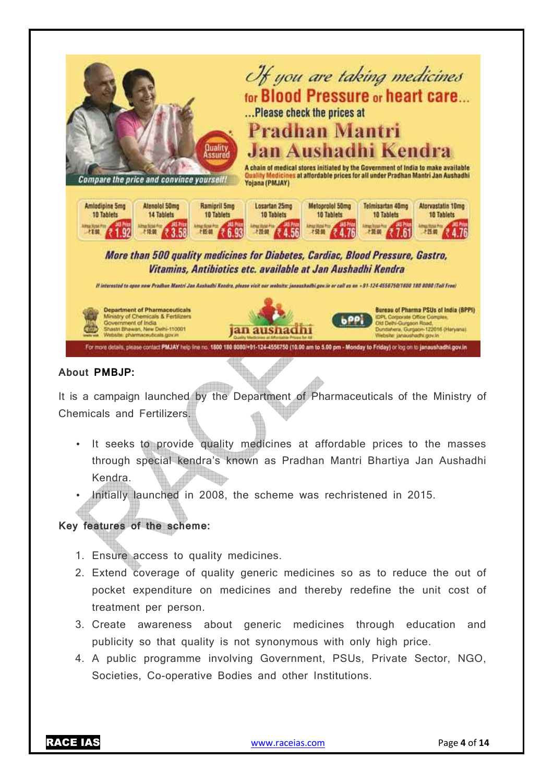

#### **About PMBJP:**

It is a campaign launched by the Department of Pharmaceuticals of the Ministry of Chemicals and Fertilizers.

- It seeks to provide quality medicines at affordable prices to the masses through special kendra's known as Pradhan Mantri Bhartiya Jan Aushadhi Kendra.
- Initially launched in 2008, the scheme was rechristened in 2015.

#### **Key features of the scheme:**

- 1. Ensure access to quality medicines.
- 2. Extend coverage of quality generic medicines so as to reduce the out of pocket expenditure on medicines and thereby redefine the unit cost of treatment per person.
- 3. Create awareness about generic medicines through education and publicity so that quality is not synonymous with only high price.
- 4. A public programme involving Government, PSUs, Private Sector, NGO, Societies, Co-operative Bodies and other Institutions.

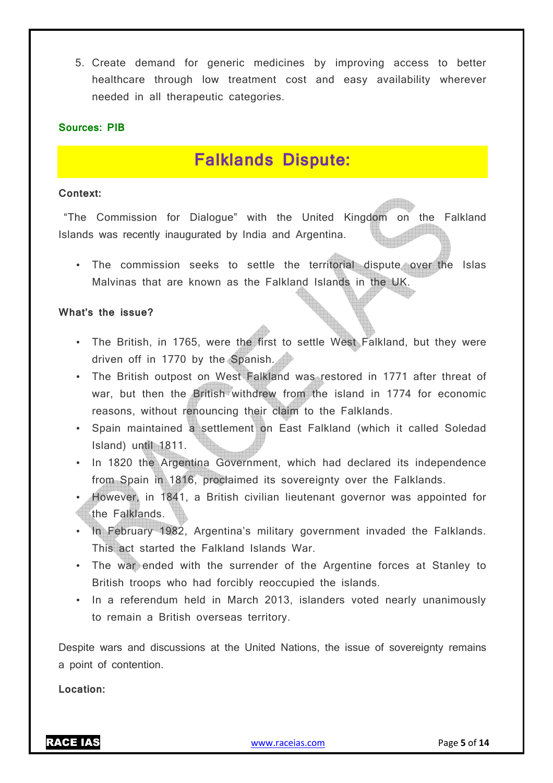5. Create demand for generic medicines by improving access to better healthcare through low treatment cost and easy availability wherever needed in all therapeutic categories.

#### **Sources: PIB**

## **Falklands Dispute:**

#### **Context:**

 "The Commission for Dialogue" with the United Kingdom on the Falkland Islands was recently inaugurated by India and Argentina.

• The commission seeks to settle the territorial dispute over the Islas Malvinas that are known as the Falkland Islands in the UK.

#### **What's the issue?**

- The British, in 1765, were the first to settle West Falkland, but they were driven off in 1770 by the Spanish.
- The British outpost on West Falkland was restored in 1771 after threat of war, but then the British withdrew from the island in 1774 for economic reasons, without renouncing their claim to the Falklands.
- Spain maintained a settlement on East Falkland (which it called Soledad Island) until 1811.
- In 1820 the Argentina Government, which had declared its independence from Spain in 1816, proclaimed its sovereignty over the Falklands.
- However, in 1841, a British civilian lieutenant governor was appointed for the Falklands.
- In February 1982, Argentina's military government invaded the Falklands. This act started the Falkland Islands War.
- The war ended with the surrender of the Argentine forces at Stanley to British troops who had forcibly reoccupied the islands.
- In a referendum held in March 2013, islanders voted nearly unanimously to remain a British overseas territory.

Despite wars and discussions at the United Nations, the issue of sovereignty remains a point of contention.

**Location:**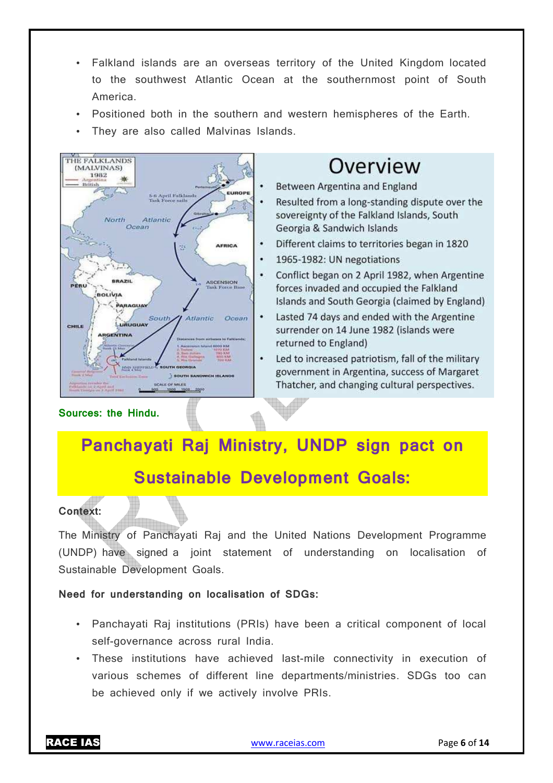- Falkland islands are an overseas territory of the United Kingdom located to the southwest Atlantic Ocean at the southernmost point of South America.
- Positioned both in the southern and western hemispheres of the Earth.
- They are also called Malvinas Islands.



# Overview

- Between Argentina and England
- Resulted from a long-standing dispute over the sovereignty of the Falkland Islands, South Georgia & Sandwich Islands
- Different claims to territories began in 1820
- 1965-1982: UN negotiations
- Conflict began on 2 April 1982, when Argentine forces invaded and occupied the Falkland Islands and South Georgia (claimed by England)
- Lasted 74 days and ended with the Argentine surrender on 14 June 1982 (islands were returned to England)
- Led to increased patriotism, fall of the military government in Argentina, success of Margaret Thatcher, and changing cultural perspectives.

**Panchayati Raj Ministry, UNDP sign pact on** 

# **Sustainable Development Goals:**



**Sources: the Hindu.**

The Ministry of Panchayati Raj and the United Nations Development Programme (UNDP) have signed a joint statement of understanding on localisation of Sustainable Development Goals.

#### **Need for understanding on localisation of SDGs:**

- Panchayati Raj institutions (PRIs) have been a critical component of local self-governance across rural India.
- These institutions have achieved last-mile connectivity in execution of various schemes of different line departments/ministries. SDGs too can be achieved only if we actively involve PRIs.

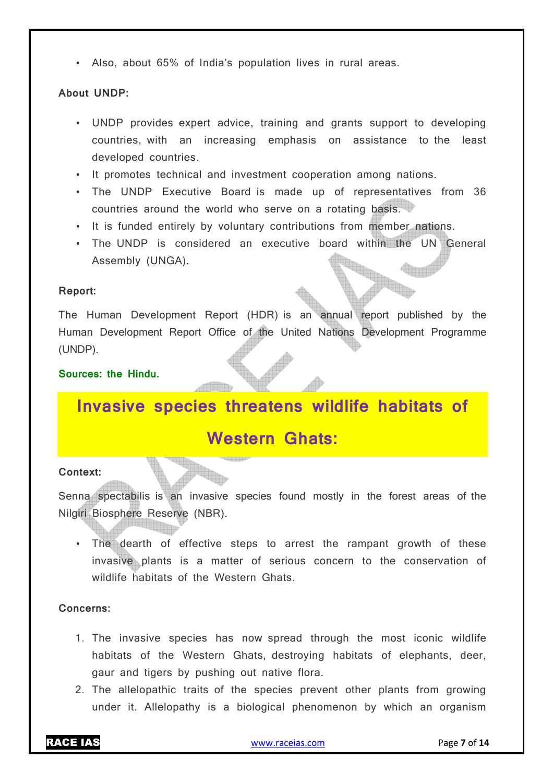• Also, about 65% of India's population lives in rural areas.

#### **About UNDP:**

- UNDP provides expert advice, training and grants support to developing countries, with an increasing emphasis on assistance to the least developed countries.
- It promotes technical and investment cooperation among nations.
- The UNDP Executive Board is made up of representatives from 36 countries around the world who serve on a rotating basis.
- It is funded entirely by voluntary contributions from member nations.
- The UNDP is considered an executive board within the UN General Assembly (UNGA).

#### **Report:**

The Human Development Report (HDR) is an annual report published by the Human Development Report Office of the United Nations Development Programme (UNDP).

#### **Sources: the Hindu.**

# **Invasive species threatens wildlife habitats of**

### **Western Ghats:**

#### **Context:**

Senna spectabilis is an invasive species found mostly in the forest areas of the Nilgiri Biosphere Reserve (NBR).

• The dearth of effective steps to arrest the rampant growth of these invasive plants is a matter of serious concern to the conservation of wildlife habitats of the Western Ghats.

#### **Concerns:**

- 1. The invasive species has now spread through the most iconic wildlife habitats of the Western Ghats, destroying habitats of elephants, deer, gaur and tigers by pushing out native flora.
- 2. The allelopathic traits of the species prevent other plants from growing under it. Allelopathy is a biological phenomenon by which an organism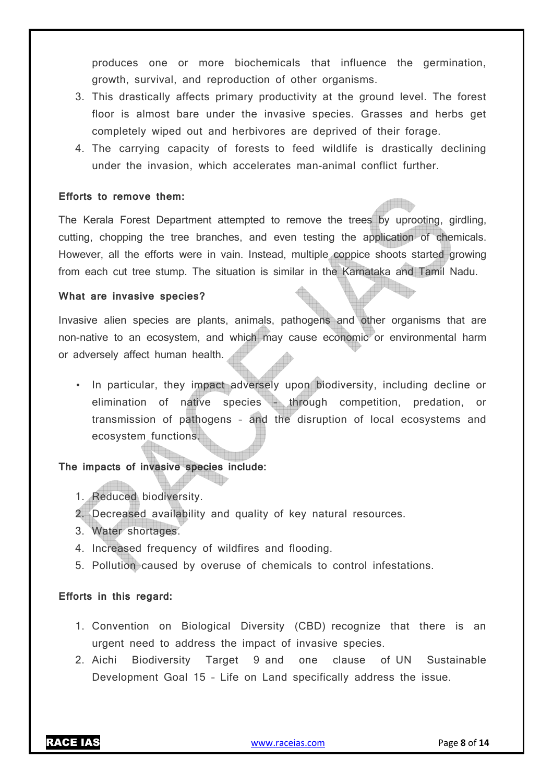produces one or more biochemicals that influence the germination, growth, survival, and reproduction of other organisms.

- 3. This drastically affects primary productivity at the ground level. The forest floor is almost bare under the invasive species. Grasses and herbs get completely wiped out and herbivores are deprived of their forage.
- 4. The carrying capacity of forests to feed wildlife is drastically declining under the invasion, which accelerates man-animal conflict further.

#### **Efforts to remove them:**

The Kerala Forest Department attempted to remove the trees by uprooting, girdling, cutting, chopping the tree branches, and even testing the application of chemicals. However, all the efforts were in vain. Instead, multiple coppice shoots started growing from each cut tree stump. The situation is similar in the Karnataka and Tamil Nadu.

#### **What are invasive species?**

Invasive alien species are plants, animals, pathogens and other organisms that are non-native to an ecosystem, and which may cause economic or environmental harm or adversely affect human health.

• In particular, they impact adversely upon biodiversity, including decline or elimination of native species – through competition, predation, or transmission of pathogens – and the disruption of local ecosystems and ecosystem functions.

#### **The impacts of invasive species include:**

- 1. Reduced biodiversity.
- 2. Decreased availability and quality of key natural resources.
- 3. Water shortages.
- 4. Increased frequency of wildfires and flooding.
- 5. Pollution caused by overuse of chemicals to control infestations.

#### **Efforts in this regard:**

- 1. Convention on Biological Diversity (CBD) recognize that there is an urgent need to address the impact of invasive species.
- 2. Aichi Biodiversity Target 9 and one clause of UN Sustainable Development Goal 15 – Life on Land specifically address the issue.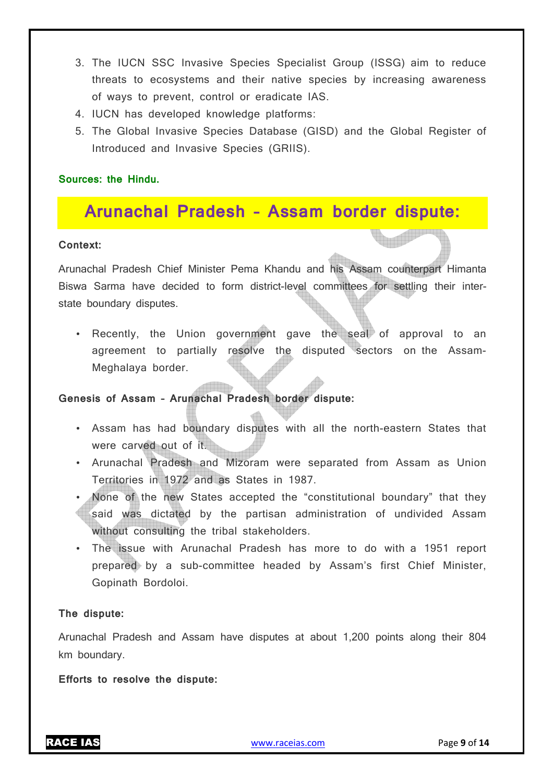- 3. The IUCN SSC Invasive Species Specialist Group (ISSG) aim to reduce threats to ecosystems and their native species by increasing awareness of ways to prevent, control or eradicate IAS.
- 4. IUCN has developed knowledge platforms:
- 5. The Global Invasive Species Database (GISD) and the Global Register of Introduced and Invasive Species (GRIIS).

#### **Sources: the Hindu.**

# **Arunachal Pradesh – Assam border dispute:**

#### **Context:**

Arunachal Pradesh Chief Minister Pema Khandu and his Assam counterpart Himanta Biswa Sarma have decided to form district-level committees for settling their interstate boundary disputes.

• Recently, the Union government gave the seal of approval to an agreement to partially resolve the disputed sectors on the Assam-Meghalaya border.

#### **Genesis of Assam – Arunachal Pradesh border dispute:**

- Assam has had boundary disputes with all the north-eastern States that were carved out of it.
- Arunachal Pradesh and Mizoram were separated from Assam as Union Territories in 1972 and as States in 1987.
- None of the new States accepted the "constitutional boundary" that they said was dictated by the partisan administration of undivided Assam without consulting the tribal stakeholders.
- The issue with Arunachal Pradesh has more to do with a 1951 report prepared by a sub-committee headed by Assam's first Chief Minister, Gopinath Bordoloi.

#### **The dispute:**

Arunachal Pradesh and Assam have disputes at about 1,200 points along their 804 km boundary.

**Efforts to resolve the dispute:**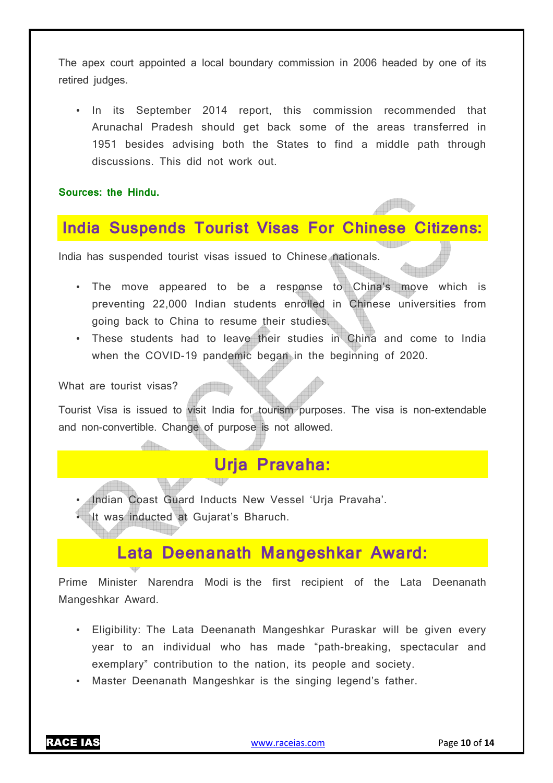The apex court appointed a local boundary commission in 2006 headed by one of its retired judges.

• In its September 2014 report, this commission recommended that Arunachal Pradesh should get back some of the areas transferred in 1951 besides advising both the States to find a middle path through discussions. This did not work out.

**Sources: the Hindu.**

### **India Suspends Tourist Visas For Chinese Citizens:**

India has suspended tourist visas issued to Chinese nationals.

- The move appeared to be a response to China's move which is preventing 22,000 Indian students enrolled in Chinese universities from going back to China to resume their studies.
- These students had to leave their studies in China and come to India when the COVID-19 pandemic began in the beginning of 2020.

What are tourist visas?

Tourist Visa is issued to visit India for tourism purposes. The visa is non-extendable and non-convertible. Change of purpose is not allowed.

### **Urja Pravaha:**

- Indian Coast Guard Inducts New Vessel 'Urja Pravaha'.
- It was inducted at Gujarat's Bharuch.

### **Lata Deenanath Mangeshkar Award:**

Prime Minister Narendra Modi is the first recipient of the Lata Deenanath Mangeshkar Award.

- Eligibility: The Lata Deenanath Mangeshkar Puraskar will be given every year to an individual who has made "path-breaking, spectacular and exemplary" contribution to the nation, its people and society.
- Master Deenanath Mangeshkar is the singing legend's father.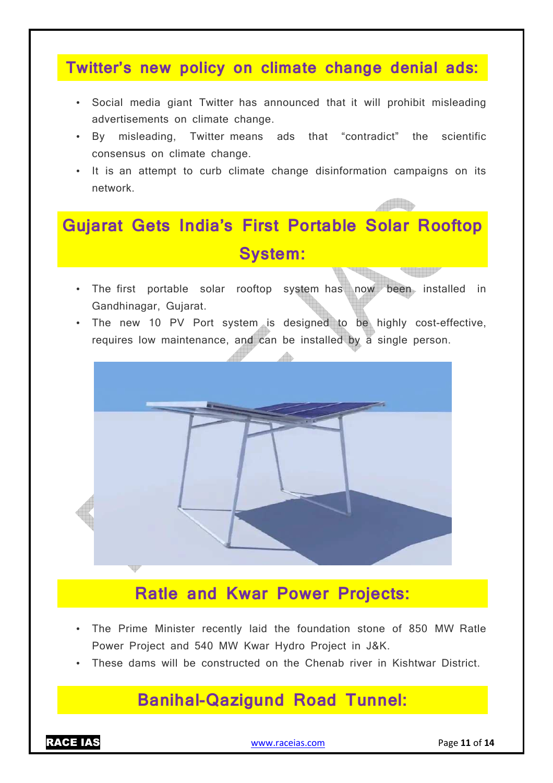### **Twitter's new policy on climate change denial ads:**

- Social media giant Twitter has announced that it will prohibit misleading advertisements on climate change.
- By misleading, Twitter means ads that "contradict" the scientific consensus on climate change.
- It is an attempt to curb climate change disinformation campaigns on its network.

# **Gujarat Gets India's First Portable Solar Rooftop System:**

- The first portable solar rooftop system has now been installed in Gandhinagar, Gujarat.
- The new 10 PV Port system is designed to be highly cost-effective, requires low maintenance, and can be installed by a single person.



# **Ratle and Kwar Power Projects:**

- The Prime Minister recently laid the foundation stone of 850 MW Ratle Power Project and 540 MW Kwar Hydro Project in J&K.
- These dams will be constructed on the Chenab river in Kishtwar District.

# **Banihal-Qazigund Road Tunnel:**

RACE IAS www.raceias.com Page **11** of **14**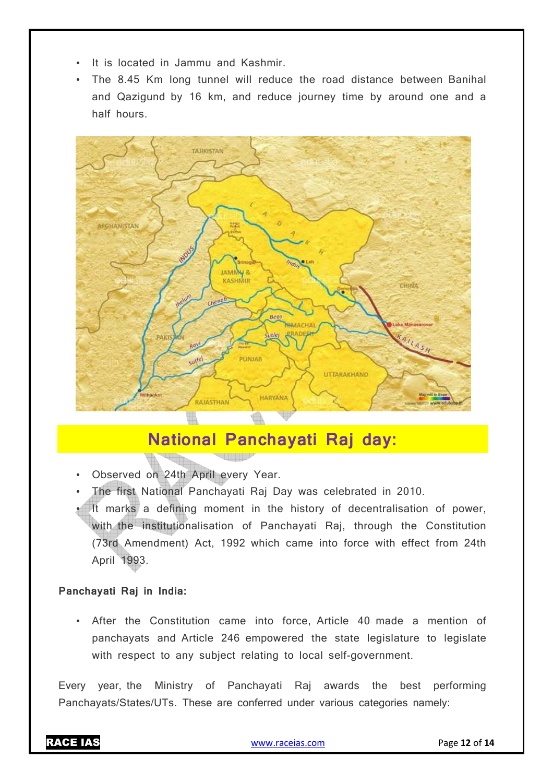- It is located in Jammu and Kashmir.
- The 8.45 Km long tunnel will reduce the road distance between Banihal and Qazigund by 16 km, and reduce journey time by around one and a half hours.



### **National Panchayati Raj day:**

- Observed on 24th April every Year.
- The first National Panchayati Raj Day was celebrated in 2010.

**Seemaaren** 

It marks a defining moment in the history of decentralisation of power, with the institutionalisation of Panchayati Raj, through the Constitution (73rd Amendment) Act, 1992 which came into force with effect from 24th April 1993.

#### **Panchayati Raj in India:**

• After the Constitution came into force, Article 40 made a mention of panchayats and Article 246 empowered the state legislature to legislate with respect to any subject relating to local self-government.

Every year, the Ministry of Panchayati Raj awards the best performing Panchayats/States/UTs. These are conferred under various categories namely: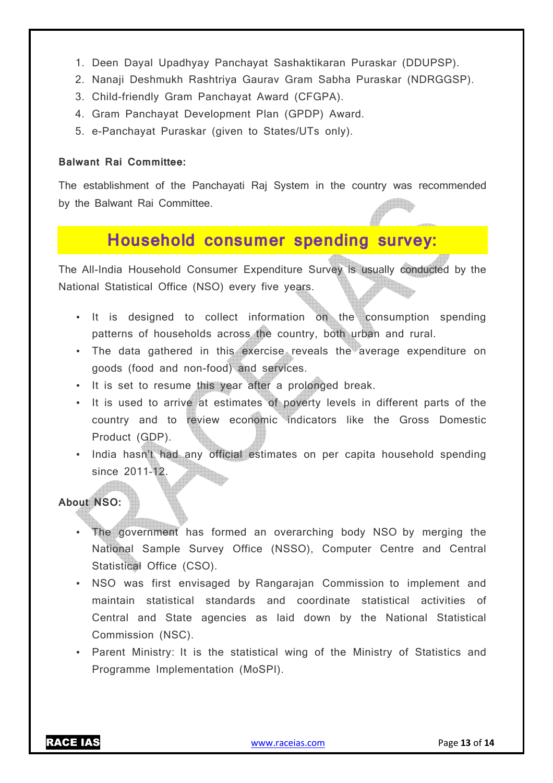- 1. Deen Dayal Upadhyay Panchayat Sashaktikaran Puraskar (DDUPSP).
- 2. Nanaji Deshmukh Rashtriya Gaurav Gram Sabha Puraskar (NDRGGSP).
- 3. Child-friendly Gram Panchayat Award (CFGPA).
- 4. Gram Panchayat Development Plan (GPDP) Award.
- 5. e-Panchayat Puraskar (given to States/UTs only).

#### **Balwant Rai Committee:**

The establishment of the Panchayati Raj System in the country was recommended by the Balwant Rai Committee.

### **Household consumer spending survey:**

The All-India Household Consumer Expenditure Survey is usually conducted by the National Statistical Office (NSO) every five years.

- It is designed to collect information on the consumption spending patterns of households across the country, both urban and rural.
- The data gathered in this exercise reveals the average expenditure on goods (food and non-food) and services.
- It is set to resume this year after a prolonged break.
- It is used to arrive at estimates of poverty levels in different parts of the country and to review economic indicators like the Gross Domestic Product (GDP).
- India hasn't had any official estimates on per capita household spending since 2011–12.

#### **About NSO:**

- The government has formed an overarching body NSO by merging the National Sample Survey Office (NSSO), Computer Centre and Central Statistical Office (CSO).
- NSO was first envisaged by Rangarajan Commission to implement and maintain statistical standards and coordinate statistical activities of Central and State agencies as laid down by the National Statistical Commission (NSC).
- Parent Ministry: It is the statistical wing of the Ministry of Statistics and Programme Implementation (MoSPI).